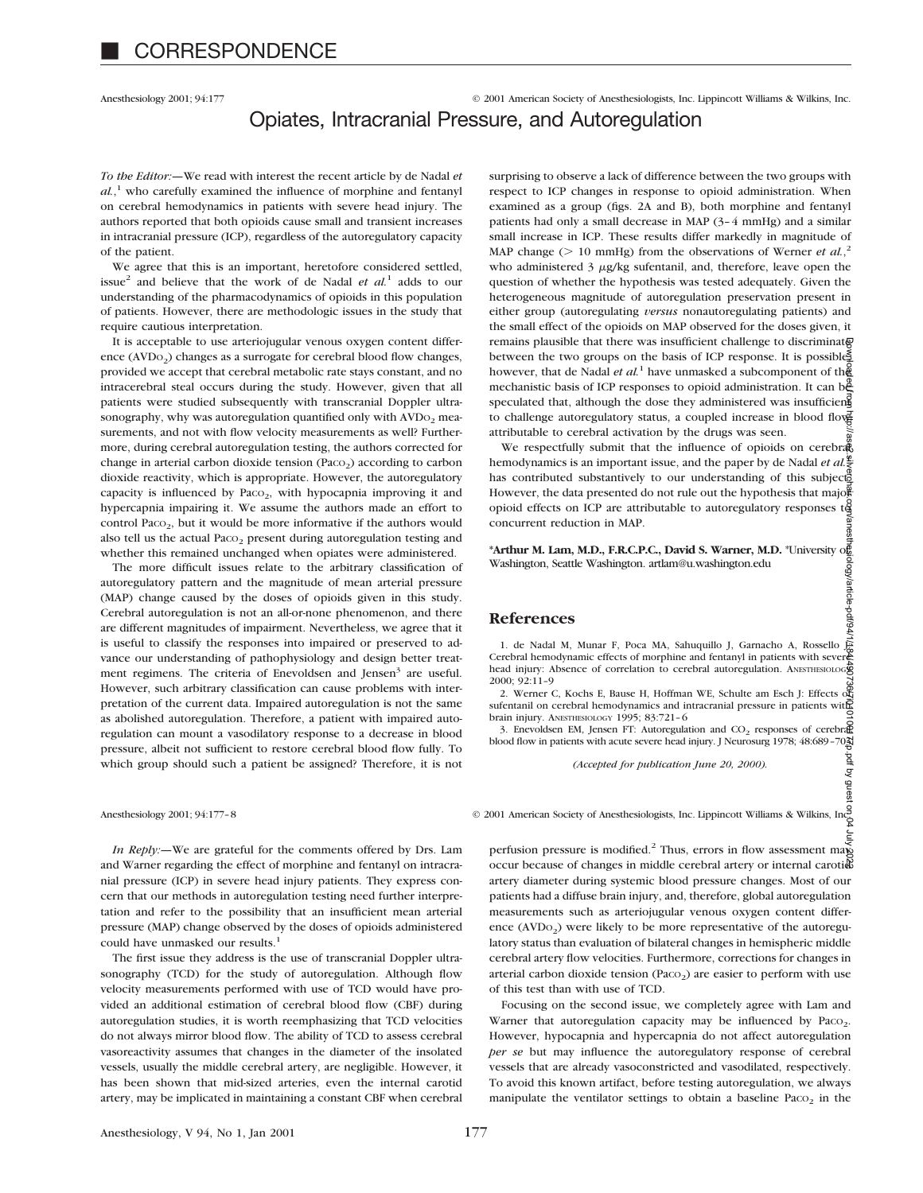Anesthesiology 2001; 94:177 © 2001 American Society of Anesthesiologists, Inc. Lippincott Williams & Wilkins, Inc.

# Opiates, Intracranial Pressure, and Autoregulation

*To the Editor:—*We read with interest the recent article by de Nadal *et al.*, <sup>1</sup> who carefully examined the influence of morphine and fentanyl on cerebral hemodynamics in patients with severe head injury. The authors reported that both opioids cause small and transient increases in intracranial pressure (ICP), regardless of the autoregulatory capacity of the patient.

We agree that this is an important, heretofore considered settled, issue<sup>2</sup> and believe that the work of de Nadal  $et \ al^{1}$  adds to our understanding of the pharmacodynamics of opioids in this population of patients. However, there are methodologic issues in the study that require cautious interpretation.

It is acceptable to use arteriojugular venous oxygen content difference ( $AVDo<sub>2</sub>$ ) changes as a surrogate for cerebral blood flow changes, provided we accept that cerebral metabolic rate stays constant, and no intracerebral steal occurs during the study. However, given that all patients were studied subsequently with transcranial Doppler ultrasonography, why was autoregulation quantified only with  $AVDo<sub>2</sub>$  measurements, and not with flow velocity measurements as well? Furthermore, during cerebral autoregulation testing, the authors corrected for change in arterial carbon dioxide tension (Paco<sub>2</sub>) according to carbon dioxide reactivity, which is appropriate. However, the autoregulatory capacity is influenced by Paco $_2$ , with hypocapnia improving it and hypercapnia impairing it. We assume the authors made an effort to control Paco<sub>2</sub>, but it would be more informative if the authors would also tell us the actual Paco<sub>2</sub> present during autoregulation testing and whether this remained unchanged when opiates were administered.

The more difficult issues relate to the arbitrary classification of autoregulatory pattern and the magnitude of mean arterial pressure (MAP) change caused by the doses of opioids given in this study. Cerebral autoregulation is not an all-or-none phenomenon, and there are different magnitudes of impairment. Nevertheless, we agree that it is useful to classify the responses into impaired or preserved to advance our understanding of pathophysiology and design better treatment regimens. The criteria of Enevoldsen and Jensen<sup>3</sup> are useful. However, such arbitrary classification can cause problems with interpretation of the current data. Impaired autoregulation is not the same as abolished autoregulation. Therefore, a patient with impaired autoregulation can mount a vasodilatory response to a decrease in blood pressure, albeit not sufficient to restore cerebral blood flow fully. To which group should such a patient be assigned? Therefore, it is not

*In Reply:—*We are grateful for the comments offered by Drs. Lam and Warner regarding the effect of morphine and fentanyl on intracranial pressure (ICP) in severe head injury patients. They express concern that our methods in autoregulation testing need further interpretation and refer to the possibility that an insufficient mean arterial pressure (MAP) change observed by the doses of opioids administered could have unmasked our results.<sup>1</sup>

The first issue they address is the use of transcranial Doppler ultrasonography (TCD) for the study of autoregulation. Although flow velocity measurements performed with use of TCD would have provided an additional estimation of cerebral blood flow (CBF) during autoregulation studies, it is worth reemphasizing that TCD velocities do not always mirror blood flow. The ability of TCD to assess cerebral vasoreactivity assumes that changes in the diameter of the insolated vessels, usually the middle cerebral artery, are negligible. However, it has been shown that mid-sized arteries, even the internal carotid artery, may be implicated in maintaining a constant CBF when cerebral surprising to observe a lack of difference between the two groups with respect to ICP changes in response to opioid administration. When examined as a group (figs. 2A and B), both morphine and fentanyl patients had only a small decrease in MAP (3–4 mmHg) and a similar small increase in ICP. These results differ markedly in magnitude of MAP change ( $> 10$  mmHg) from the observations of Werner *et al.*<sup>2</sup> who administered 3  $\mu$ g/kg sufentanil, and, therefore, leave open the question of whether the hypothesis was tested adequately. Given the heterogeneous magnitude of autoregulation preservation present in either group (autoregulating *versus* nonautoregulating patients) and the small effect of the opioids on MAP observed for the doses given, it remains plausible that there was insufficient challenge to discriminate between the two groups on the basis of ICP response. It is possible, however, that de Nadal *et al.*<sup>1</sup> have unmasked a subcomponent of the mechanistic basis of ICP responses to opioid administration. It can be speculated that, although the dose they administered was insufficient to challenge autoregulatory status, a coupled increase in blood flow attributable to cerebral activation by the drugs was seen. Downloaded from http://asa2.ilasa2.silver.com/anesthesiology/article-pdf/94/490712/1920101010012/1001010101010

We respectfully submit that the influence of opioids on cerebral hemodynamics is an important issue, and the paper by de Nadal *et al.*<sup>2</sup>/<sub>2</sub> has contributed substantively to our understanding of this subject. However, the data presented do not rule out the hypothesis that major opioid effects on ICP are attributable to autoregulatory responses  $t\ddot{g}$ concurrent reduction in MAP.

**\*Arthur M. Lam, M.D., F.R.C.P.C., David S. Warner, M.D.** \*University of Washington, Seattle Washington. artlam@u.washington.edu

### **References**

1. de Nadal M, Munar F, Poca MA, Sahuquillo J, Garnacho A, Rossello E Cerebral hemodynamic effects of morphine and fentanyl in patients with severe head injury: Absence of correlation to cerebral autoregulation. ANESTHESIOLOGY 2000; 92:11–9

2. Werner C, Kochs E, Bause H, Hoffman WE, Schulte am Esch J: Effects of sufentanil on cerebral hemodynamics and intracranial pressure in patients with brain injury. ANESTHESIOLOGY 1995; 83:721-6<br>3. Enevoldsen EM, Jensen FT: Autoregulation and CO<sub>2</sub> responses of cerebrate

3. Enevoldsen EM, Jensen FT: Autoregulation and  $CO_2$  responses of cerebrate blood flow in patients with acute severe head injury. J Neurosurg 1978; 48:689-703

*(Accepted for publication June 20, 2000).*

Anesthesiology 2001; 94:177–8 © 2001 American Society of Anesthesiologists, Inc. Lippincott Williams & Wilkins, Inc.

perfusion pressure is modified.<sup>2</sup> Thus, errors in flow assessment may occur because of changes in middle cerebral artery or internal carotid artery diameter during systemic blood pressure changes. Most of our patients had a diffuse brain injury, and, therefore, global autoregulation measurements such as arteriojugular venous oxygen content difference (AVDo<sub>2</sub>) were likely to be more representative of the autoregulatory status than evaluation of bilateral changes in hemispheric middle cerebral artery flow velocities. Furthermore, corrections for changes in arterial carbon dioxide tension (Paco<sub>2</sub>) are easier to perform with use of this test than with use of TCD.

Focusing on the second issue, we completely agree with Lam and Warner that autoregulation capacity may be influenced by Paco<sub>2</sub>. However, hypocapnia and hypercapnia do not affect autoregulation *per se* but may influence the autoregulatory response of cerebral vessels that are already vasoconstricted and vasodilated, respectively. To avoid this known artifact, before testing autoregulation, we always manipulate the ventilator settings to obtain a baseline  $Paco<sub>2</sub>$  in the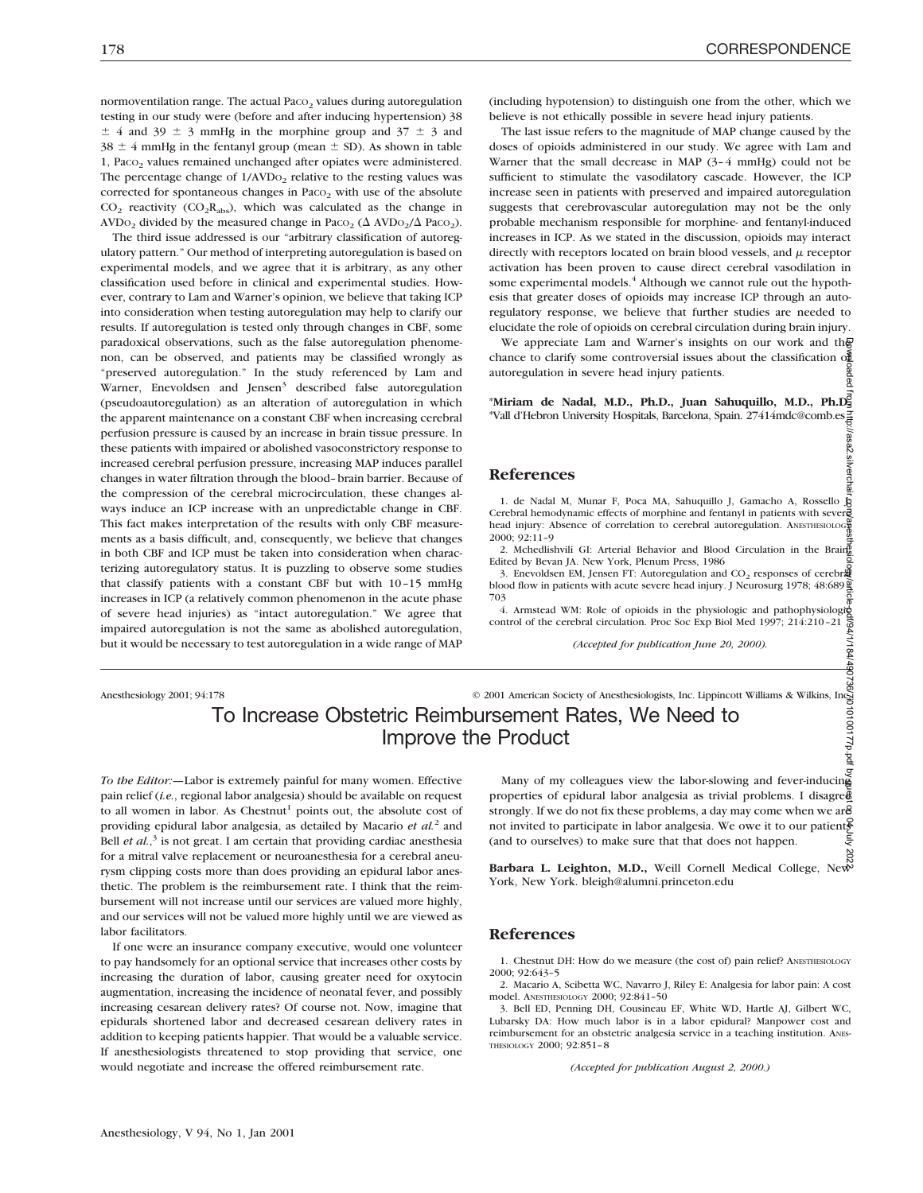//asa2.silvercha

normoventilation range. The actual Paco<sub>2</sub> values during autoregulation testing in our study were (before and after inducing hypertension) 38  $\pm$  4 and 39  $\pm$  3 mmHg in the morphine group and 37  $\pm$  3 and  $38 \pm 4$  mmHg in the fentanyl group (mean  $\pm$  SD). As shown in table 1, Paco<sub>2</sub> values remained unchanged after opiates were administered. The percentage change of  $1/AVDo<sub>2</sub>$  relative to the resting values was corrected for spontaneous changes in Paco<sub>2</sub> with use of the absolute  $CO<sub>2</sub>$  reactivity ( $CO<sub>2</sub>R<sub>abs</sub>$ ), which was calculated as the change in AVDO<sub>2</sub> divided by the measured change in PacO<sub>2</sub> ( $\Delta$  AVDO<sub>2</sub>/ $\Delta$  PacO<sub>2</sub>).

The third issue addressed is our "arbitrary classification of autoregulatory pattern." Our method of interpreting autoregulation is based on experimental models, and we agree that it is arbitrary, as any other classification used before in clinical and experimental studies. However, contrary to Lam and Warner's opinion, we believe that taking ICP into consideration when testing autoregulation may help to clarify our results. If autoregulation is tested only through changes in CBF, some paradoxical observations, such as the false autoregulation phenomenon, can be observed, and patients may be classified wrongly as "preserved autoregulation." In the study referenced by Lam and Warner, Enevoldsen and Jensen<sup>3</sup> described false autoregulation (pseudoautoregulation) as an alteration of autoregulation in which the apparent maintenance on a constant CBF when increasing cerebral perfusion pressure is caused by an increase in brain tissue pressure. In these patients with impaired or abolished vasoconstrictory response to increased cerebral perfusion pressure, increasing MAP induces parallel changes in water filtration through the blood–brain barrier. Because of the compression of the cerebral microcirculation, these changes always induce an ICP increase with an unpredictable change in CBF. This fact makes interpretation of the results with only CBF measurements as a basis difficult, and, consequently, we believe that changes in both CBF and ICP must be taken into consideration when characterizing autoregulatory status. It is puzzling to observe some studies that classify patients with a constant CBF but with 10–15 mmHg increases in ICP (a relatively common phenomenon in the acute phase of severe head injuries) as "intact autoregulation." We agree that impaired autoregulation is not the same as abolished autoregulation, but it would be necessary to test autoregulation in a wide range of MAP

(including hypotension) to distinguish one from the other, which we believe is not ethically possible in severe head injury patients.

The last issue refers to the magnitude of MAP change caused by the doses of opioids administered in our study. We agree with Lam and Warner that the small decrease in MAP (3–4 mmHg) could not be sufficient to stimulate the vasodilatory cascade. However, the ICP increase seen in patients with preserved and impaired autoregulation suggests that cerebrovascular autoregulation may not be the only probable mechanism responsible for morphine- and fentanyl-induced increases in ICP. As we stated in the discussion, opioids may interact directly with receptors located on brain blood vessels, and  $\mu$  receptor activation has been proven to cause direct cerebral vasodilation in some experimental models.<sup>4</sup> Although we cannot rule out the hypothesis that greater doses of opioids may increase ICP through an autoregulatory response, we believe that further studies are needed to elucidate the role of opioids on cerebral circulation during brain injury.

We appreciate Lam and Warner's insights on our work and the chance to clarify some controversial issues about the classification of autoregulation in severe head injury patients.

\***Miriam de Nadal, M.D., Ph.D., Juan Sahuquillo, M.D., Ph.D.** \*Vall d'Hebron University Hospitals, Barcelona, Spain. 27414mdc@comb.es

#### **References**

1. de Nadal M, Munar F, Poca MA, Sahuquillo J, Gamacho A, Rossello J Cerebral hemodynamic effects of morphine and fentanyl in patients with severe head injury: Absence of correlation to cerebral autoregulation. ANESTHESIOLOGY 2000; 92:11–9

2. Mchedlishvili GI: Arterial Behavior and Blood Circulation in the Brain Edited by Bevan JA. New York, Plenum Press, 1986

3. Enevoldsen EM, Jensen FT: Autoregulation and CO<sub>2</sub> responses of cerebr $\frac{10}{2}$  blood flow in patients with acute severe head injury. J Neurosurg 1978; 48:689 703

4. Armstead WM: Role of opioids in the physiologic and pathophysiologies control of the cerebral circulation. Proc Soc Exp Biol Med 1997; 214:210–21

*(Accepted for publication June 20, 2000).*

## Anesthesiology 2001; 94:178 © 2001 American Society of Anesthesiologists, Inc. Lippincott Williams & Wilkins, Inc. To Increase Obstetric Reimbursement Rates, We Need to Improve the Product

*To the Editor:—*Labor is extremely painful for many women. Effective pain relief (*i.e.*, regional labor analgesia) should be available on request to all women in labor. As Chestnut<sup>1</sup> points out, the absolute cost of providing epidural labor analgesia, as detailed by Macario *et al.*<sup>2</sup> and Bell *et al.*,<sup>3</sup> is not great. I am certain that providing cardiac anesthesia for a mitral valve replacement or neuroanesthesia for a cerebral aneurysm clipping costs more than does providing an epidural labor anesthetic. The problem is the reimbursement rate. I think that the reimbursement will not increase until our services are valued more highly, and our services will not be valued more highly until we are viewed as labor facilitators.

If one were an insurance company executive, would one volunteer to pay handsomely for an optional service that increases other costs by increasing the duration of labor, causing greater need for oxytocin augmentation, increasing the incidence of neonatal fever, and possibly increasing cesarean delivery rates? Of course not. Now, imagine that epidurals shortened labor and decreased cesarean delivery rates in addition to keeping patients happier. That would be a valuable service. If anesthesiologists threatened to stop providing that service, one would negotiate and increase the offered reimbursement rate.

Many of my colleagues view the labor-slowing and fever-inducing properties of epidural labor analgesia as trivial problems. I disagre $\bar{\mathcal{C}}$ strongly. If we do not fix these problems, a day may come when we are not invited to participate in labor analgesia. We owe it to our patients (and to ourselves) to make sure that that does not happen. Downloaded from http://asa2.silverchair.com/anesthesiology/article-pdf/94/1/184/490736/7i010100177p.pdf by guest on 04 July 2022

**Barbara L. Leighton, M.D.,** Weill Cornell Medical College, New York, New York. bleigh@alumni.princeton.edu

#### **References**

1. Chestnut DH: How do we measure (the cost of) pain relief? ANESTHESIOLOGY 2000; 92:643–5

2. Macario A, Scibetta WC, Navarro J, Riley E: Analgesia for labor pain: A cost model. ANESTHESIOLOGY 2000; 92:841–50

3. Bell ED, Penning DH, Cousineau EF, White WD, Hartle AJ, Gilbert WC, Lubarsky DA: How much labor is in a labor epidural? Manpower cost and reimbursement for an obstetric analgesia service in a teaching institution. ANES-THESIOLOGY 2000; 92:851–8

*(Accepted for publication August 2, 2000.)*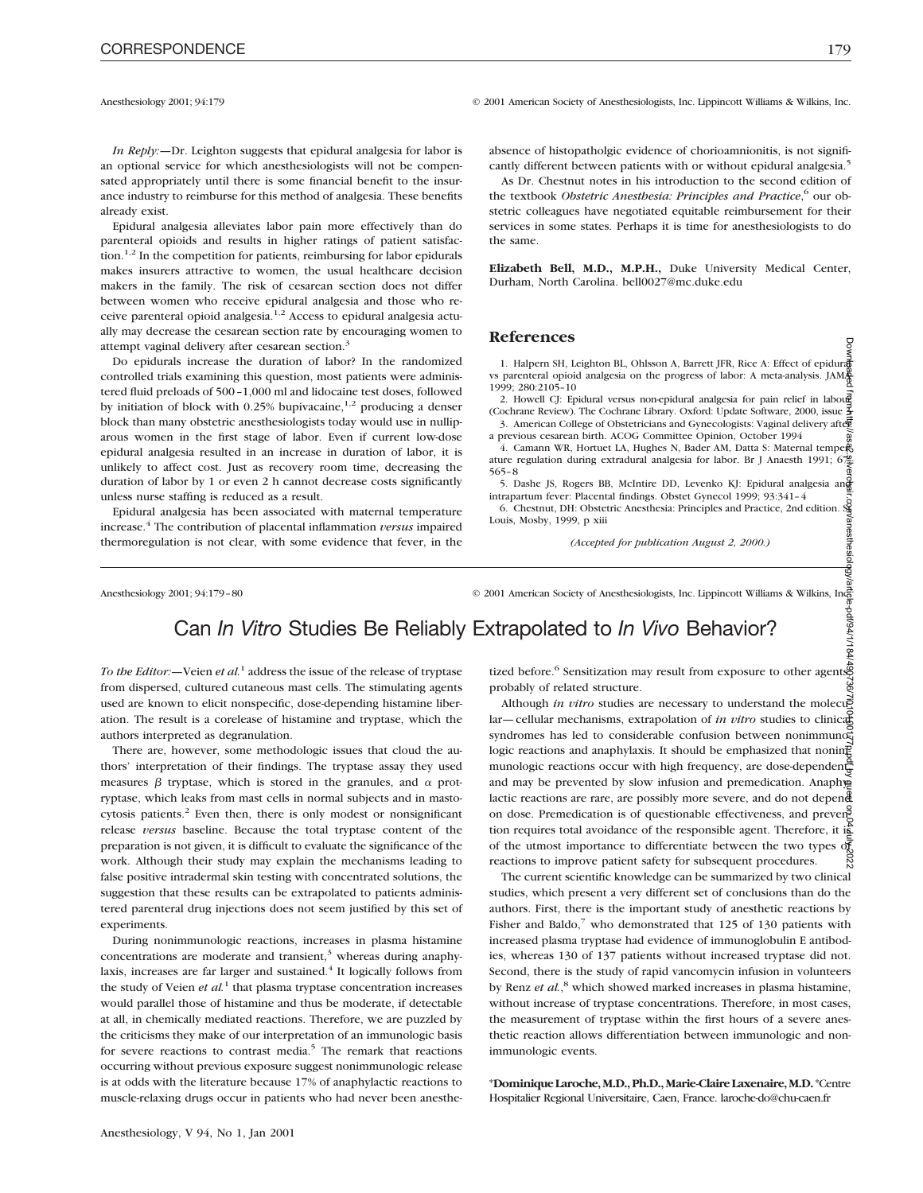Anesthesiology 2001; 94:179 © 2001 American Society of Anesthesiologists, Inc. Lippincott Williams & Wilkins, Inc.

*In Reply:—*Dr. Leighton suggests that epidural analgesia for labor is an optional service for which anesthesiologists will not be compensated appropriately until there is some financial benefit to the insurance industry to reimburse for this method of analgesia. These benefits already exist.

Epidural analgesia alleviates labor pain more effectively than do parenteral opioids and results in higher ratings of patient satisfaction.1,2 In the competition for patients, reimbursing for labor epidurals makes insurers attractive to women, the usual healthcare decision makers in the family. The risk of cesarean section does not differ between women who receive epidural analgesia and those who receive parenteral opioid analgesia.<sup>1,2</sup> Access to epidural analgesia actually may decrease the cesarean section rate by encouraging women to attempt vaginal delivery after cesarean section.<sup>3</sup>

Do epidurals increase the duration of labor? In the randomized controlled trials examining this question, most patients were administered fluid preloads of 500–1,000 ml and lidocaine test doses, followed by initiation of block with 0.25% bupivacaine, $1,2$  producing a denser block than many obstetric anesthesiologists today would use in nulliparous women in the first stage of labor. Even if current low-dose epidural analgesia resulted in an increase in duration of labor, it is unlikely to affect cost. Just as recovery room time, decreasing the duration of labor by 1 or even 2 h cannot decrease costs significantly unless nurse staffing is reduced as a result.

Epidural analgesia has been associated with maternal temperature increase.4 The contribution of placental inflammation *versus* impaired thermoregulation is not clear, with some evidence that fever, in the absence of histopatholgic evidence of chorioamnionitis, is not significantly different between patients with or without epidural analgesia.<sup>5</sup>

As Dr. Chestnut notes in his introduction to the second edition of the textbook *Obstetric Anesthesia: Principles and Practice*, <sup>6</sup> our obstetric colleagues have negotiated equitable reimbursement for their services in some states. Perhaps it is time for anesthesiologists to do the same.

**Elizabeth Bell, M.D., M.P.H.,** Duke University Medical Center, Durham, North Carolina. bell0027@mc.duke.edu

#### **References**

1. Halpern SH, Leighton BL, Ohlsson A, Barrett JFR, Rice A: Effect of epidural vs parenteral opioid analgesia on the progress of labor: A meta-analysis. JAMA 1999; 280:2105–10

2. Howell CJ: Epidural versus non-epidural analgesia for pain relief in laboure (Cochrane Review). The Cochrane Library. Oxford: Update Software, 2000, issue  $\frac{7}{2}$ 3. American College of Obstetricians and Gynecologists: Vaginal delivery after

a previous cesarean birth. ACOG Committee Opinion, October 1994 4. Camann WR, Hortuet LA, Hughes N, Bader AM, Datta S: Maternal tempers ature regulation during extradural analgesia for labor. Br J Anaesth 1991;  $6\frac{76}{5}$ 

565–8 5. Dashe JS, Rogers BB, McIntire DD, Levenko KJ: Epidural analgesia and intrapartum fever: Placental findings. Obstet Gynecol 1999; 93:341–4

6. Chestnut, DH: Obstetric Anesthesia: Principles and Practice, 2nd edition. St.<br>6. Chestnut, DH: Obstetric Anesthesia: Principles and Practice, 2nd edition. St.<br>Louis, Mosby, 1999, p xiji Louis, Mosby, 1999, p xiii

*(Accepted for publication August 2, 2000.)*

Anesthesiology 2001; 94:179–80 © 2001 American Society of Anesthesiologists, Inc. Lippincott Williams & Wilkins, Inc.

# Can *In Vitro* Studies Be Reliably Extrapolated to *In Vivo* Behavior?

*To the Editor:*—Veien *et al.*<sup>1</sup> address the issue of the release of tryptase from dispersed, cultured cutaneous mast cells. The stimulating agents used are known to elicit nonspecific, dose-depending histamine liberation. The result is a corelease of histamine and tryptase, which the authors interpreted as degranulation.

There are, however, some methodologic issues that cloud the authors' interpretation of their findings. The tryptase assay they used measures  $\beta$  tryptase, which is stored in the granules, and  $\alpha$  protryptase, which leaks from mast cells in normal subjects and in mastocytosis patients.<sup>2</sup> Even then, there is only modest or nonsignificant release *versus* baseline. Because the total tryptase content of the preparation is not given, it is difficult to evaluate the significance of the work. Although their study may explain the mechanisms leading to false positive intradermal skin testing with concentrated solutions, the suggestion that these results can be extrapolated to patients administered parenteral drug injections does not seem justified by this set of experiments.

During nonimmunologic reactions, increases in plasma histamine concentrations are moderate and transient, $3$  whereas during anaphylaxis, increases are far larger and sustained.<sup>4</sup> It logically follows from the study of Veien et al.<sup>1</sup> that plasma tryptase concentration increases would parallel those of histamine and thus be moderate, if detectable at all, in chemically mediated reactions. Therefore, we are puzzled by the criticisms they make of our interpretation of an immunologic basis for severe reactions to contrast media.<sup>5</sup> The remark that reactions occurring without previous exposure suggest nonimmunologic release is at odds with the literature because 17% of anaphylactic reactions to muscle-relaxing drugs occur in patients who had never been anesthetized before.<sup>6</sup> Sensitization may result from exposure to other agents, probably of related structure.

Although *in vitro* studies are necessary to understand the molecular—cellular mechanisms, extrapolation of *in vitro* studies to clinical syndromes has led to considerable confusion between nonimmuno $\vec{\xi}$ logic reactions and anaphylaxis. It should be emphasized that noning munologic reactions occur with high frequency, are dose-dependent, and may be prevented by slow infusion and premedication. Anaphya lactic reactions are rare, are possibly more severe, and do not depend on dose. Premedication is of questionable effectiveness, and prevention requires total avoidance of the responsible agent. Therefore, it is of the utmost importance to differentiate between the two types of reactions to improve patient safety for subsequent procedures. Downloaded from http://asa2.silverchair.com/anesthesiology/article-pdf/94/1/184/490736/7i010100177p.pdf by guest on 04 July 2022

The current scientific knowledge can be summarized by two clinical studies, which present a very different set of conclusions than do the authors. First, there is the important study of anesthetic reactions by Fisher and Baldo, $7$  who demonstrated that 125 of 130 patients with increased plasma tryptase had evidence of immunoglobulin E antibodies, whereas 130 of 137 patients without increased tryptase did not. Second, there is the study of rapid vancomycin infusion in volunteers by Renz *et al.*,<sup>8</sup> which showed marked increases in plasma histamine, without increase of tryptase concentrations. Therefore, in most cases, the measurement of tryptase within the first hours of a severe anesthetic reaction allows differentiation between immunologic and nonimmunologic events.

\***DominiqueLaroche,M.D.,Ph.D.,Marie-ClaireLaxenaire,M.D.**\*Centre Hospitalier Regional Universitaire, Caen, France. laroche-do@chu-caen.fr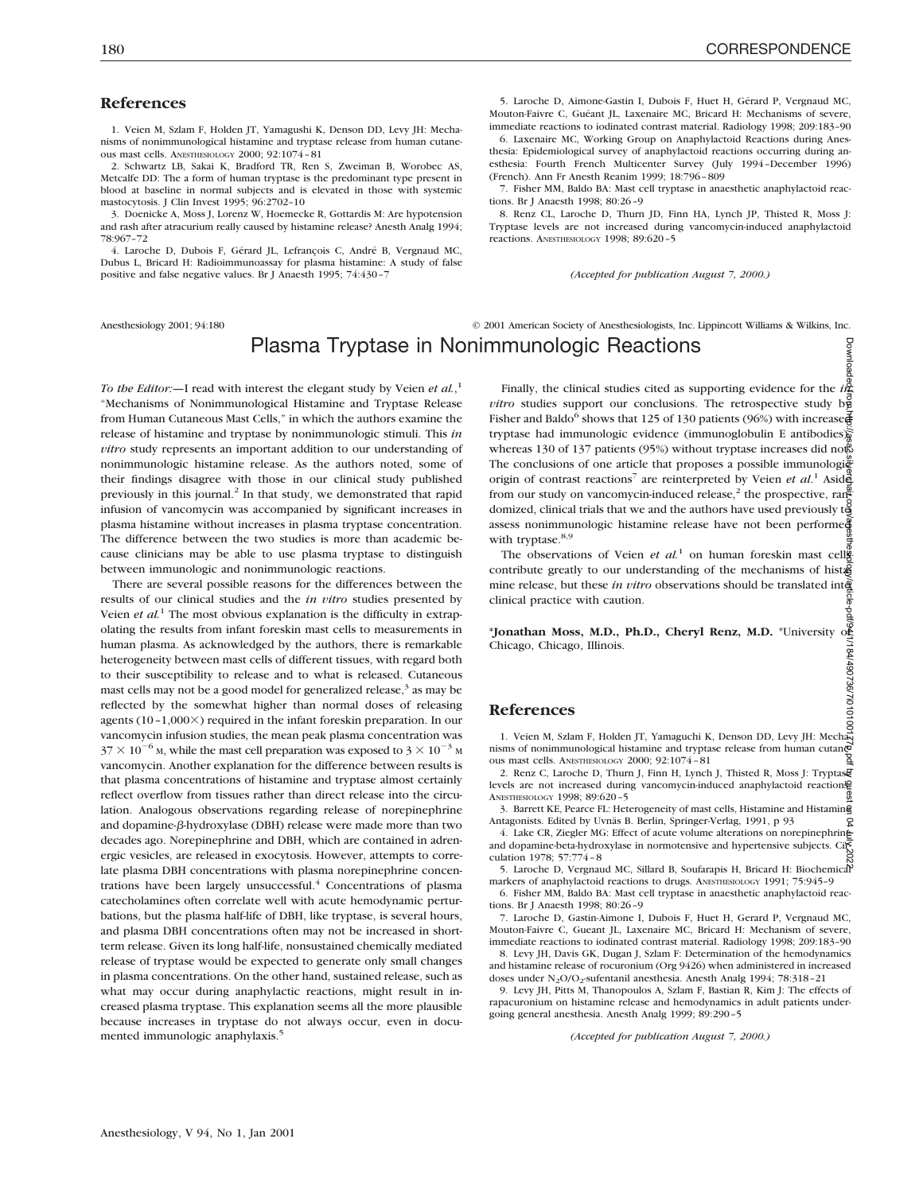Download

### **References**

1. Veien M, Szlam F, Holden JT, Yamagushi K, Denson DD, Levy JH: Mechanisms of nonimmunological histamine and tryptase release from human cutaneous mast cells. ANESTHESIOLOGY 2000; 92:1074–81

2. Schwartz LB, Sakai K, Bradford TR, Ren S, Zweiman B, Worobec AS, Metcalfe DD: The a form of human tryptase is the predominant type present in blood at baseline in normal subjects and is elevated in those with systemic mastocytosis. J Clin Invest 1995; 96:2702–10

3. Doenicke A, Moss J, Lorenz W, Hoemecke R, Gottardis M: Are hypotension and rash after atracurium really caused by histamine release? Anesth Analg 1994; 78:967–72

4. Laroche D, Dubois F, Gérard JL, Lefrançois C, André B, Vergnaud MC, Dubus L, Bricard H: Radioimmunoassay for plasma histamine: A study of false positive and false negative values. Br J Anaesth 1995; 74:430–7

5. Laroche D, Aimone-Gastin I, Dubois F, Huet H, Gérard P, Vergnaud MC, Mouton-Faivre C, Guéant JL, Laxenaire MC, Bricard H: Mechanisms of severe, immediate reactions to iodinated contrast material. Radiology 1998; 209:183–90

6. Laxenaire MC, Working Group on Anaphylactoid Reactions during Anesthesia: Epidemiological survey of anaphylactoid reactions occurring during anesthesia: Fourth French Multicenter Survey (July 1994–December 1996) (French). Ann Fr Anesth Reanim 1999; 18:796–809

7. Fisher MM, Baldo BA: Mast cell tryptase in anaesthetic anaphylactoid reactions. Br J Anaesth 1998; 80:26–9

8. Renz CL, Laroche D, Thurn JD, Finn HA, Lynch JP, Thisted R, Moss J: Tryptase levels are not increased during vancomycin-induced anaphylactoid reactions. ANESTHESIOLOGY 1998; 89:620–5

*(Accepted for publication August 7, 2000.)*

Anesthesiology 2001; 94:180 © 2001 American Society of Anesthesiologists, Inc. Lippincott Williams & Wilkins, Inc.

# Plasma Tryptase in Nonimmunologic Reactions

*To the Editor:—*I read with interest the elegant study by Veien *et al.*, 1 "Mechanisms of Nonimmunological Histamine and Tryptase Release from Human Cutaneous Mast Cells," in which the authors examine the release of histamine and tryptase by nonimmunologic stimuli. This *in vitro* study represents an important addition to our understanding of nonimmunologic histamine release. As the authors noted, some of their findings disagree with those in our clinical study published previously in this journal.<sup>2</sup> In that study, we demonstrated that rapid infusion of vancomycin was accompanied by significant increases in plasma histamine without increases in plasma tryptase concentration. The difference between the two studies is more than academic because clinicians may be able to use plasma tryptase to distinguish between immunologic and nonimmunologic reactions.

There are several possible reasons for the differences between the results of our clinical studies and the *in vitro* studies presented by Veien *et al.*<sup>1</sup> The most obvious explanation is the difficulty in extrapolating the results from infant foreskin mast cells to measurements in human plasma. As acknowledged by the authors, there is remarkable heterogeneity between mast cells of different tissues, with regard both to their susceptibility to release and to what is released. Cutaneous mast cells may not be a good model for generalized release, $3$  as may be reflected by the somewhat higher than normal doses of releasing agents (10-1,000×) required in the infant foreskin preparation. In our vancomycin infusion studies, the mean peak plasma concentration was  $37 \times 10^{-6}$  M, while the mast cell preparation was exposed to  $3 \times 10^{-3}$  M vancomycin. Another explanation for the difference between results is that plasma concentrations of histamine and tryptase almost certainly reflect overflow from tissues rather than direct release into the circulation. Analogous observations regarding release of norepinephrine and dopamine- $\beta$ -hydroxylase (DBH) release were made more than two decades ago. Norepinephrine and DBH, which are contained in adrenergic vesicles, are released in exocytosis. However, attempts to correlate plasma DBH concentrations with plasma norepinephrine concentrations have been largely unsuccessful.<sup>4</sup> Concentrations of plasma catecholamines often correlate well with acute hemodynamic perturbations, but the plasma half-life of DBH, like tryptase, is several hours, and plasma DBH concentrations often may not be increased in shortterm release. Given its long half-life, nonsustained chemically mediated release of tryptase would be expected to generate only small changes in plasma concentrations. On the other hand, sustained release, such as what may occur during anaphylactic reactions, might result in increased plasma tryptase. This explanation seems all the more plausible because increases in tryptase do not always occur, even in documented immunologic anaphylaxis.<sup>5</sup>

Finally, the clinical studies cited as supporting evidence for the  $i\frac{\partial}{\partial x}$ *vitro* studies support our conclusions. The retrospective study  $b\frac{9}{8}$ Fisher and Baldo<sup>6</sup> shows that 125 of 130 patients (96%) with increased tryptase had immunologic evidence (immunoglobulin E antibodies) whereas 130 of 137 patients (95%) without tryptase increases did not. The conclusions of one article that proposes a possible immunologiently origin of contrast reactions<sup>7</sup> are reinterpreted by Veien *et al.*<sup>1</sup> Asiden from our study on vancomycin-induced release,<sup>2</sup> the prospective, ranged domized, clinical trials that we and the authors have used previously  $t\ddot{\theta}$ assess nonimmunologic histamine release have not been performed with tryptase.<sup>8,9</sup> Downloaded from http://asa2.silverchair.com/anesthesiology/article-pdf/94/1/184/490736/7i010100177p.pdf by guest on 04 July 2022

The observations of Veien *et al.*<sup>1</sup> on human foreskin mast cell contribute greatly to our understanding of the mechanisms of hist<sup>8</sup> mine release, but these *in vitro* observations should be translated integrals clinical practice with caution.

**\*Jonathan Moss, M.D., Ph.D., Cheryl Renz, M.D.** \*University of Chicago, Chicago, Illinois.<br>Chicago, Chicago, Illinois.<br>**References** Chicago, Chicago, Illinois.

### **References**

1. Veien M, Szlam F, Holden IT, Yamaguchi K, Denson DD, Levy IH: Mechanisms of nonimmunological histamine and tryptase release from human cutane-<br>ous mast cells Average over 2000:  $92 \cdot 1074$ , 81 ous mast cells. ANESTHESIOLOGY 2000; 92:1074–81

2. Renz C, Laroche D, Thurn J, Finn H, Lynch J, Thisted R, Moss J: Tryptase levels are not increased during vancomycin-induced anaphylactoid reaction. ANESTHESIOLOGY 1998; 89:620–5

3. Barrett KE, Pearce FL: Heterogeneity of mast cells, Histamine and Histamine Antagonists. Edited by Uvnäs B. Berlin, Springer-Verlag, 1991, p 93 R

4. Lake CR, Ziegler MG: Effect of acute volume alterations on norepinephrine and dopamine-beta-hydroxylase in normotensive and hypertensive subjects. Circulation 1978; 57:774–8

5. Laroche D, Vergnaud MC, Sillard B, Soufarapis H, Bricard H: Biochemical markers of anaphylactoid reactions to drugs. ANESTHESIOLOGY 1991; 75:945-9

6. Fisher MM, Baldo BA: Mast cell tryptase in anaesthetic anaphylactoid reactions. Br J Anaesth 1998; 80:26–9

7. Laroche D, Gastin-Aimone I, Dubois F, Huet H, Gerard P, Vergnaud MC, Mouton-Faivre C, Gueant JL, Laxenaire MC, Bricard H: Mechanism of severe, immediate reactions to iodinated contrast material. Radiology 1998; 209:183–90

8. Levy JH, Davis GK, Dugan J, Szlam F: Determination of the hemodynamics and histamine release of rocuronium (Org 9426) when administered in increased doses under  $N_2O/O_2$ -sufentanil anesthesia. Anesth Analg 1994; 78:318–21

9. Levy JH, Pitts M, Thanopoulos A, Szlam F, Bastian R, Kim J: The effects of rapacuronium on histamine release and hemodynamics in adult patients undergoing general anesthesia. Anesth Analg 1999; 89:290–5

*(Accepted for publication August 7, 2000.)*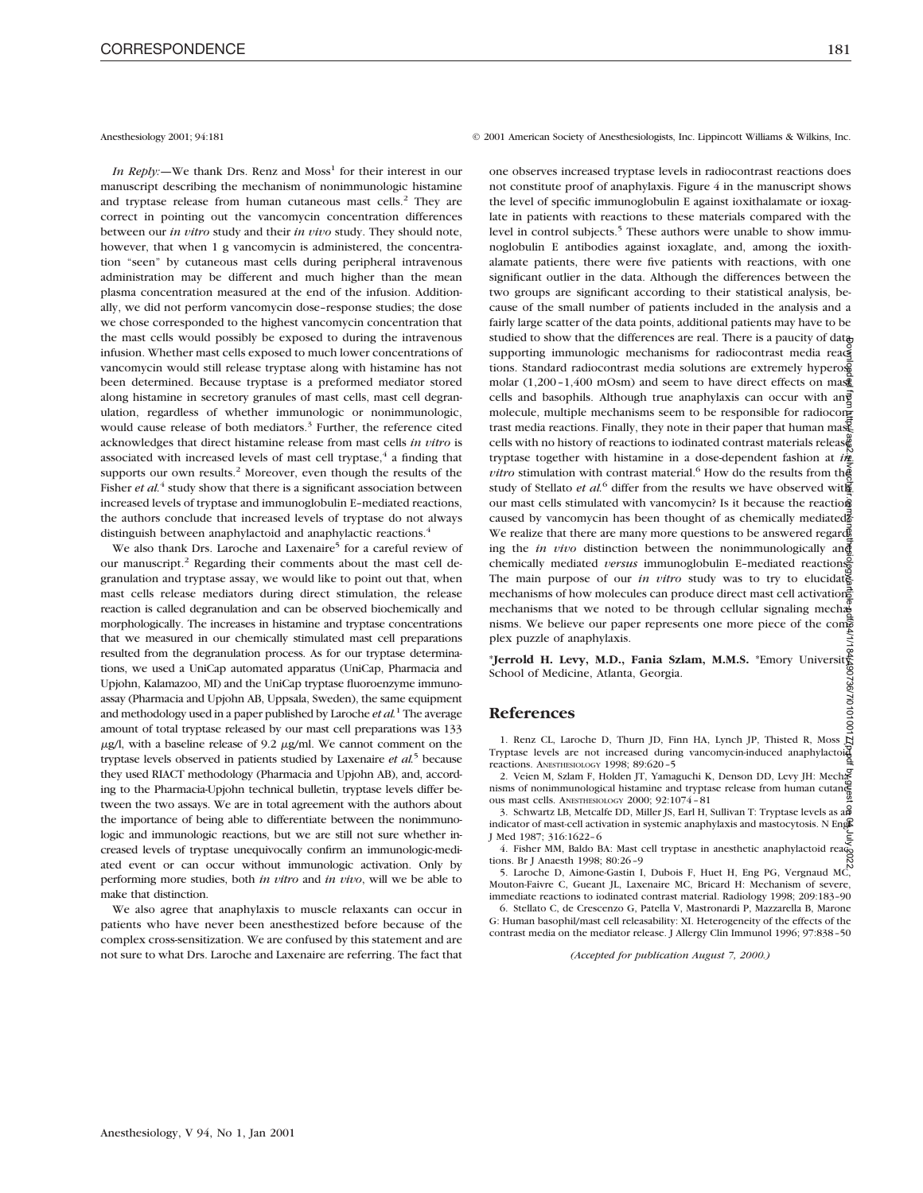*In Reply:*—We thank Drs. Renz and Moss<sup>1</sup> for their interest in our manuscript describing the mechanism of nonimmunologic histamine and tryptase release from human cutaneous mast cells.<sup>2</sup> They are correct in pointing out the vancomycin concentration differences between our *in vitro* study and their *in vivo* study. They should note, however, that when 1 g vancomycin is administered, the concentration "seen" by cutaneous mast cells during peripheral intravenous administration may be different and much higher than the mean plasma concentration measured at the end of the infusion. Additionally, we did not perform vancomycin dose–response studies; the dose we chose corresponded to the highest vancomycin concentration that the mast cells would possibly be exposed to during the intravenous infusion. Whether mast cells exposed to much lower concentrations of vancomycin would still release tryptase along with histamine has not been determined. Because tryptase is a preformed mediator stored along histamine in secretory granules of mast cells, mast cell degranulation, regardless of whether immunologic or nonimmunologic, would cause release of both mediators.<sup>3</sup> Further, the reference cited acknowledges that direct histamine release from mast cells *in vitro* is associated with increased levels of mast cell tryptase, $4$  a finding that supports our own results.<sup>2</sup> Moreover, even though the results of the Fisher *et al.*<sup>4</sup> study show that there is a significant association between increased levels of tryptase and immunoglobulin E–mediated reactions, the authors conclude that increased levels of tryptase do not always distinguish between anaphylactoid and anaphylactic reactions.4

We also thank Drs. Laroche and Laxenaire<sup>5</sup> for a careful review of our manuscript.<sup>2</sup> Regarding their comments about the mast cell degranulation and tryptase assay, we would like to point out that, when mast cells release mediators during direct stimulation, the release reaction is called degranulation and can be observed biochemically and morphologically. The increases in histamine and tryptase concentrations that we measured in our chemically stimulated mast cell preparations resulted from the degranulation process. As for our tryptase determinations, we used a UniCap automated apparatus (UniCap, Pharmacia and Upjohn, Kalamazoo, MI) and the UniCap tryptase fluoroenzyme immunoassay (Pharmacia and Upjohn AB, Uppsala, Sweden), the same equipment and methodology used in a paper published by Laroche *et al.*<sup>1</sup> The average amount of total tryptase released by our mast cell preparations was 133  $\mu$ g/l, with a baseline release of 9.2  $\mu$ g/ml. We cannot comment on the tryptase levels observed in patients studied by Laxenaire *et al.*<sup>5</sup> because they used RIACT methodology (Pharmacia and Upjohn AB), and, according to the Pharmacia-Upjohn technical bulletin, tryptase levels differ between the two assays. We are in total agreement with the authors about the importance of being able to differentiate between the nonimmunologic and immunologic reactions, but we are still not sure whether increased levels of tryptase unequivocally confirm an immunologic-mediated event or can occur without immunologic activation. Only by performing more studies, both *in vitro* and *in vivo*, will we be able to make that distinction.

We also agree that anaphylaxis to muscle relaxants can occur in patients who have never been anesthestized before because of the complex cross-sensitization. We are confused by this statement and are not sure to what Drs. Laroche and Laxenaire are referring. The fact that

Anesthesiology 2001; 94:181 © 2001 American Society of Anesthesiologists, Inc. Lippincott Williams & Wilkins, Inc.

one observes increased tryptase levels in radiocontrast reactions does not constitute proof of anaphylaxis. Figure 4 in the manuscript shows the level of specific immunoglobulin E against ioxithalamate or ioxaglate in patients with reactions to these materials compared with the level in control subjects.<sup>5</sup> These authors were unable to show immunoglobulin E antibodies against ioxaglate, and, among the ioxithalamate patients, there were five patients with reactions, with one significant outlier in the data. Although the differences between the two groups are significant according to their statistical analysis, because of the small number of patients included in the analysis and a fairly large scatter of the data points, additional patients may have to be studied to show that the differences are real. There is a paucity of data supporting immunologic mechanisms for radiocontrast media reactions. Standard radiocontrast media solutions are extremely hypero $\frac{5}{2}$ molar  $(1,200-1,400 \text{ mOsm})$  and seem to have direct effects on mass cells and basophils. Although true anaphylaxis can occur with an $\vec{g}$ molecule, multiple mechanisms seem to be responsible for radiocone trast media reactions. Finally, they note in their paper that human mass cells with no history of reactions to iodinated contrast materials release tryptase together with histamine in a dose-dependent fashion at *in vitro* stimulation with contrast material.<sup>6</sup> How do the results from the study of Stellato *et al.*<sup>6</sup> differ from the results we have observed with our mast cells stimulated with vancomycin? Is it because the reaction caused by vancomycin has been thought of as chemically mediated? We realize that there are many more questions to be answered regarding the *in vivo* distinction between the nonimmunologically and chemically mediated *versus* immunoglobulin E–mediated reactions. The main purpose of our *in vitro* study was to try to elucidate mechanisms of how molecules can produce direct mast cell activation, mechanisms that we noted to be through cellular signaling mechanisms. We believe our paper represents one more piece of the competents plex puzzle of anaphylaxis. Downloaded from http://asa2.silverchair.com/anesthesiology/article-pdf/94/1/184/490736/7i010100177p.pdf by guest on 04 July 2022

\***Jerrold H. Levy, M.D., Fania Szlam, M.M.S.** \*Emory University School of Medicine, Atlanta, Georgia.

### **References**

1. Renz CL, Laroche D, Thurn JD, Finn HA, Lynch JP, Thisted R, Moss  $\ddot{L}$ Tryptase levels are not increased during vancomycin-induced anaphylactoid reactions. ANESTHESIOLOGY 1998; 89:620–5

2. Veien M, Szlam F, Holden JT, Yamaguchi K, Denson DD, Levy JH: Mechanisms of nonimmunological histamine and tryptase release from human cutaneous mast cells. ANESTHESIOLOGY 2000; 92:1074–81

3. Schwartz LB, Metcalfe DD, Miller JS, Earl H, Sullivan T: Tryptase levels as an indicator of mast-cell activation in systemic anaphylaxis and mastocytosis. N Engle J Med 1987; 316:1622–6

4. Fisher MM, Baldo BA: Mast cell tryptase in anesthetic anaphylactoid reactions. Br J Anaesth 1998; 80:26–9

5. Laroche D, Aimone-Gastin I, Dubois F, Huet H, Eng PG, Vergnaud MC, Mouton-Faivre C, Gueant JL, Laxenaire MC, Bricard H: Mechanism of severe, immediate reactions to iodinated contrast material. Radiology 1998; 209:183–90

6. Stellato C, de Crescenzo G, Patella V, Mastronardi P, Mazzarella B, Marone G: Human basophil/mast cell releasability: XI. Heterogeneity of the effects of the contrast media on the mediator release. J Allergy Clin Immunol 1996; 97:838–50

*(Accepted for publication August 7, 2000.)*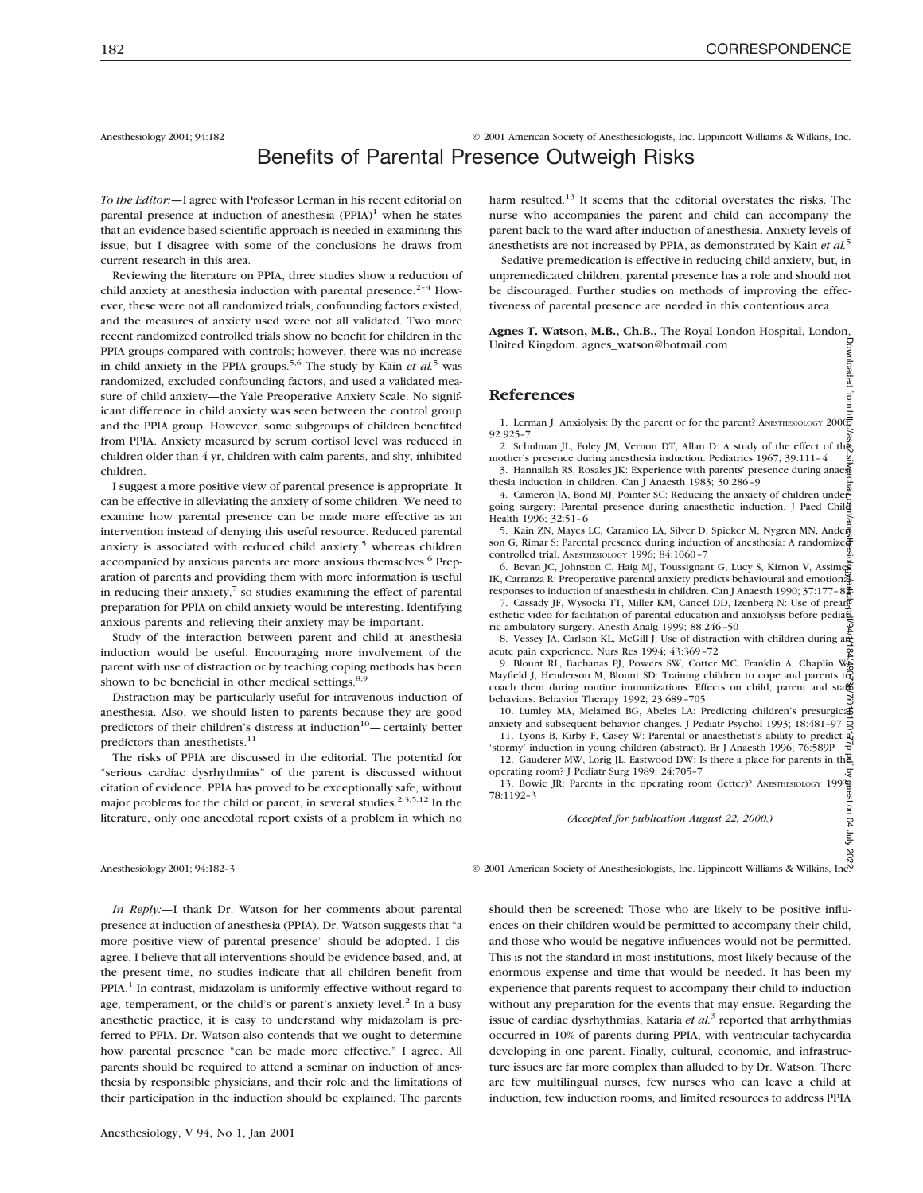Anesthesiology 2001; 94:182 © 2001 American Society of Anesthesiologists, Inc. Lippincott Williams & Wilkins, Inc.

# Benefits of Parental Presence Outweigh Risks

*To the Editor:—*I agree with Professor Lerman in his recent editorial on parental presence at induction of anesthesia  $(PPIA)^1$  when he states that an evidence-based scientific approach is needed in examining this issue, but I disagree with some of the conclusions he draws from current research in this area.

Reviewing the literature on PPIA, three studies show a reduction of child anxiety at anesthesia induction with parental presence.<sup>2-4</sup> However, these were not all randomized trials, confounding factors existed, and the measures of anxiety used were not all validated. Two more recent randomized controlled trials show no benefit for children in the PPIA groups compared with controls; however, there was no increase in child anxiety in the PPIA groups.5,6 The study by Kain *et al.*<sup>5</sup> was randomized, excluded confounding factors, and used a validated measure of child anxiety—the Yale Preoperative Anxiety Scale. No significant difference in child anxiety was seen between the control group and the PPIA group. However, some subgroups of children benefited from PPIA. Anxiety measured by serum cortisol level was reduced in children older than 4 yr, children with calm parents, and shy, inhibited children.

I suggest a more positive view of parental presence is appropriate. It can be effective in alleviating the anxiety of some children. We need to examine how parental presence can be made more effective as an intervention instead of denying this useful resource. Reduced parental anxiety is associated with reduced child anxiety, $5$  whereas children accompanied by anxious parents are more anxious themselves.<sup>6</sup> Preparation of parents and providing them with more information is useful in reducing their anxiety, $\frac{7}{5}$  so studies examining the effect of parental preparation for PPIA on child anxiety would be interesting. Identifying anxious parents and relieving their anxiety may be important.

Study of the interaction between parent and child at anesthesia induction would be useful. Encouraging more involvement of the parent with use of distraction or by teaching coping methods has been shown to be beneficial in other medical settings. $8,9$ 

Distraction may be particularly useful for intravenous induction of anesthesia. Also, we should listen to parents because they are good predictors of their children's distress at induction $10$ —certainly better predictors than anesthetists.<sup>11</sup>

The risks of PPIA are discussed in the editorial. The potential for "serious cardiac dysrhythmias" of the parent is discussed without citation of evidence. PPIA has proved to be exceptionally safe, without major problems for the child or parent, in several studies.<sup>2,3,5,12</sup> In the literature, only one anecdotal report exists of a problem in which no

*In Reply:—*I thank Dr. Watson for her comments about parental presence at induction of anesthesia (PPIA). Dr. Watson suggests that "a more positive view of parental presence" should be adopted. I disagree. I believe that all interventions should be evidence-based, and, at the present time, no studies indicate that all children benefit from PPIA.<sup>1</sup> In contrast, midazolam is uniformly effective without regard to age, temperament, or the child's or parent's anxiety level. $2$  In a busy anesthetic practice, it is easy to understand why midazolam is preferred to PPIA. Dr. Watson also contends that we ought to determine how parental presence "can be made more effective." I agree. All parents should be required to attend a seminar on induction of anesthesia by responsible physicians, and their role and the limitations of their participation in the induction should be explained. The parents

harm resulted.<sup>13</sup> It seems that the editorial overstates the risks. The nurse who accompanies the parent and child can accompany the parent back to the ward after induction of anesthesia. Anxiety levels of anesthetists are not increased by PPIA, as demonstrated by Kain *et al.*<sup>5</sup>

Sedative premedication is effective in reducing child anxiety, but, in unpremedicated children, parental presence has a role and should not be discouraged. Further studies on methods of improving the effectiveness of parental presence are needed in this contentious area.

**Agnes T. Watson, M.B., Ch.B.,** The Royal London Hospital, London, United Kingdom. agnes\_watson@hotmail.com

#### **References**

1. Lerman J: Anxiolysis: By the parent or for the parent? ANESTHESIOLOGY 2000; 92:925–7

2. Schulman JL, Foley JM, Vernon DT, Allan D: A study of the effect of the mother's presence during anesthesia induction. Pediatrics 1967; 39:111–4 3. Hannallah RS, Rosales JK: Experience with parents' presence during anaesthesia induction in children. Can J Anaesth 1983; 30:286–9

4. Cameron JA, Bond MJ, Pointer SC: Reducing the anxiety of children undergoing surgery: Parental presence during anaesthetic induction. J Paed Child Health 1996; 32:51–6

5. Kain ZN, Mayes LC, Caramico LA, Silver D, Spieker M, Nygren MN, Ander son G, Rimar S: Parental presence during induction of anesthesia: A randomized controlled trial. ANESTHESIOLOGY 1996; 84:1060–7

6. Bevan JC, Johnston C, Haig MJ, Toussignant G, Lucy S, Kirnon V, Assimes IK, Carranza R: Preoperative parental anxiety predicts behavioural and emotional responses to induction of anaesthesia in children. Can J Anaesth 1990; 37:177–82

Cassady JF, Wysocki TT, Miller KM, Cancel DD, Izenberg N: Use of prean esthetic video for facilitation of parental education and anxiolysis before pediate ric ambulatory surgery. Anesth Analg 1999; 88:246–50

8. Vessey JA, Carlson KL, McGill J: Use of distraction with children during and acute pain experience. Nurs Res 1994; 43:369–72

9. Blount RL, Bachanas PJ, Powers SW, Cotter MC, Franklin A, Chaplin W, Mayfield J, Henderson M, Blount SD: Training children to cope and parents to coach them during routine immunizations: Effects on child, parent and staff behaviors. Behavior Therapy 1992; 23:689–705

10. Lumley MA, Melamed BG, Abeles LA: Predicting children's presurgical anxiety and subsequent behavior changes. J Pediatr Psychol 1993; 18:481–97 11. Lyons B, Kirby F, Casey W: Parental or anaesthetist's ability to predict  $\frac{1}{4}$ <br>11. Lyons B, Kirby F, Casey W: Parental or anaesthetist's ability to predict  $\frac{1}{4}$ 

'stormy' induction in young children (abstract). Br J Anaesth 1996; 76:589P 12. Gauderer MW, Lorig JL, Eastwood DW: Is there a place for parents in the

operating room? J Pediatr Surg 1989; 24:705–7 ق 13. Bowie JR: Parents in the operating room (letter)? ANESTHESIOLOGY 1993<br>13. Bowie JR: Parents in the operating room (letter)? ANESTHESIOLOGY 1993<br>2. (Accepted for publication August 22, 2000.) 78:1192–3

*(Accepted for publication August 22, 2000.)*

Downloaded from http://asa2.silvage.com/anesthesiology/article-pdf/94/1491016160101611010101010101010101010101

front

Anesthesiology 2001; 94:182–3<br>  $\frac{5}{5}$ <br>
Anesthesiologists, Inc. Lippincott Williams & Wilkins, Inc.<br>
In Robby 1.ds. 1.2

should then be screened: Those who are likely to be positive influences on their children would be permitted to accompany their child, and those who would be negative influences would not be permitted. This is not the standard in most institutions, most likely because of the enormous expense and time that would be needed. It has been my experience that parents request to accompany their child to induction without any preparation for the events that may ensue. Regarding the issue of cardiac dysrhythmias, Kataria *et al.*<sup>3</sup> reported that arrhythmias occurred in 10% of parents during PPIA, with ventricular tachycardia developing in one parent. Finally, cultural, economic, and infrastructure issues are far more complex than alluded to by Dr. Watson. There are few multilingual nurses, few nurses who can leave a child at induction, few induction rooms, and limited resources to address PPIA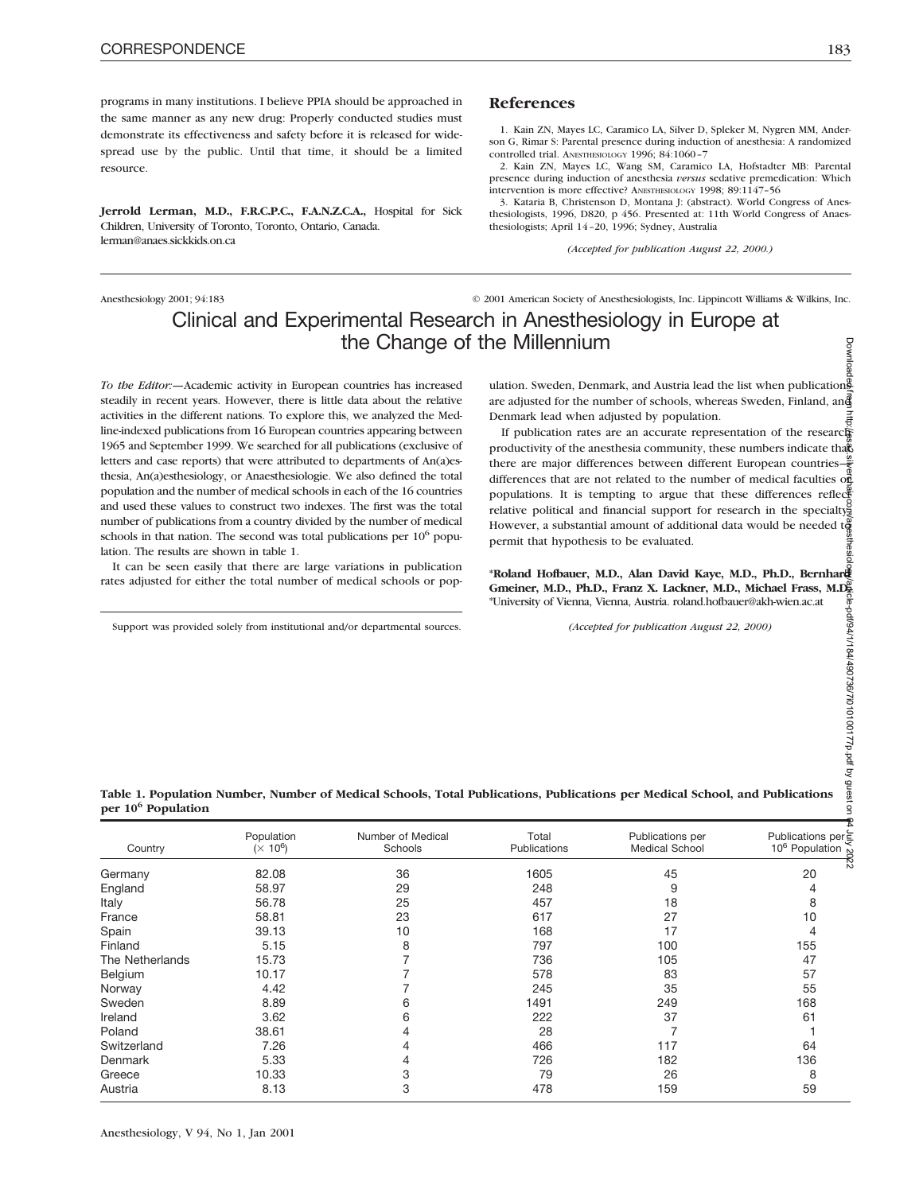programs in many institutions. I believe PPIA should be approached in the same manner as any new drug: Properly conducted studies must demonstrate its effectiveness and safety before it is released for widespread use by the public. Until that time, it should be a limited resource.

**Jerrold Lerman, M.D., F.R.C.P.C., F.A.N.Z.C.A.,** Hospital for Sick Children, University of Toronto, Toronto, Ontario, Canada. lerman@anaes.sickkids.on.ca

## **References**

1. Kain ZN, Mayes LC, Caramico LA, Silver D, Spleker M, Nygren MM, Anderson G, Rimar S: Parental presence during induction of anesthesia: A randomized controlled trial. ANESTHESIOLOGY 1996; 84:1060–7

2. Kain ZN, Mayes LC, Wang SM, Caramico LA, Hofstadter MB: Parental presence during induction of anesthesia *versus* sedative premedication: Which intervention is more effective? ANESTHESIOLOGY 1998; 89:1147–56

3. Kataria B, Christenson D, Montana J: (abstract). World Congress of Anesthesiologists, 1996, D820, p 456. Presented at: 11th World Congress of Anaesthesiologists; April 14–20, 1996; Sydney, Australia

*(Accepted for publication August 22, 2000.)*

Anesthesiology 2001; 94:183 © 2001 American Society of Anesthesiologists, Inc. Lippincott Williams & Wilkins, Inc.

# Clinical and Experimental Research in Anesthesiology in Europe at the Change of the Millennium **DE IVIIIIENNIUM**<br>
SEND 1998 SEND TO BE A MANUSTRY OF SURFACE AND REAL ULATION.<br>
Ulation. Sweden, Denmark, and Austria lead the list when publications

*To the Editor:—*Academic activity in European countries has increased steadily in recent years. However, there is little data about the relative activities in the different nations. To explore this, we analyzed the Medline-indexed publications from 16 European countries appearing between 1965 and September 1999. We searched for all publications (exclusive of letters and case reports) that were attributed to departments of An(a)esthesia, An(a)esthesiology, or Anaesthesiologie. We also defined the total population and the number of medical schools in each of the 16 countries and used these values to construct two indexes. The first was the total number of publications from a country divided by the number of medical schools in that nation. The second was total publications per  $10<sup>6</sup>$  population. The results are shown in table 1.

It can be seen easily that there are large variations in publication rates adjusted for either the total number of medical schools or pop-

Support was provided solely from institutional and/or departmental sources.

are adjusted for the number of schools, whereas Sweden, Finland, and Denmark lead when adjusted by population.

If publication rates are an accurate representation of the research productivity of the anesthesia community, these numbers indicate that there are major differences between different European countries $-\frac{2}{5}$ differences that are not related to the number of medical faculties  $\alpha \vec{R}$ populations. It is tempting to argue that these differences reflects relative political and financial support for research in the specialty. However, a substantial amount of additional data would be needed to permit that hypothesis to be evaluated. Downloaded from http://asa2.silverchair.com/anesthesiology/article-pdf/94/1/184/490736/7i010100177p.pdf by guest on 04 July 2022

**\*Roland Hofbauer, M.D., Alan David Kaye, M.D., Ph.D., Bernhard Gmeiner, M.D., Ph.D., Franz X. Lackner, M.D., Michael Frass, M.D.** \*University of Vienna, Vienna, Austria. roland.hofbauer@akh-wien.ac.at

**Table 1. Population Number, Number of Medical Schools, Total Publications, Publications per Medical School, and Publications per 10<sup>6</sup> Population**

| Country         | Population<br>$(X 10^6)$ | Number of Medical<br>Schools | Total<br>Publications | Publications per<br><b>Medical School</b> | Publications per $\frac{10^6}{10^6}$ Population |
|-----------------|--------------------------|------------------------------|-----------------------|-------------------------------------------|-------------------------------------------------|
| Germany         | 82.08                    | 36                           | 1605                  | 45                                        | 20                                              |
| England         | 58.97                    | 29                           | 248                   | 9                                         |                                                 |
| Italy           | 56.78                    | 25                           | 457                   | 18                                        | 8                                               |
| France          | 58.81                    | 23                           | 617                   | 27                                        | 10                                              |
| Spain           | 39.13                    | 10                           | 168                   | 17                                        |                                                 |
| Finland         | 5.15                     | 8                            | 797                   | 100                                       | 155                                             |
| The Netherlands | 15.73                    |                              | 736                   | 105                                       | 47                                              |
| Belgium         | 10.17                    |                              | 578                   | 83                                        | 57                                              |
| Norway          | 4.42                     |                              | 245                   | 35                                        | 55                                              |
| Sweden          | 8.89                     | 6                            | 1491                  | 249                                       | 168                                             |
| Ireland         | 3.62                     | 6                            | 222                   | 37                                        | 61                                              |
| Poland          | 38.61                    | 4                            | 28                    |                                           |                                                 |
| Switzerland     | 7.26                     | 4                            | 466                   | 117                                       | 64                                              |
| Denmark         | 5.33                     | 4                            | 726                   | 182                                       | 136                                             |
| Greece          | 10.33                    | 3                            | 79                    | 26                                        | 8                                               |
| Austria         | 8.13                     | 3                            | 478                   | 159                                       | 59                                              |

٩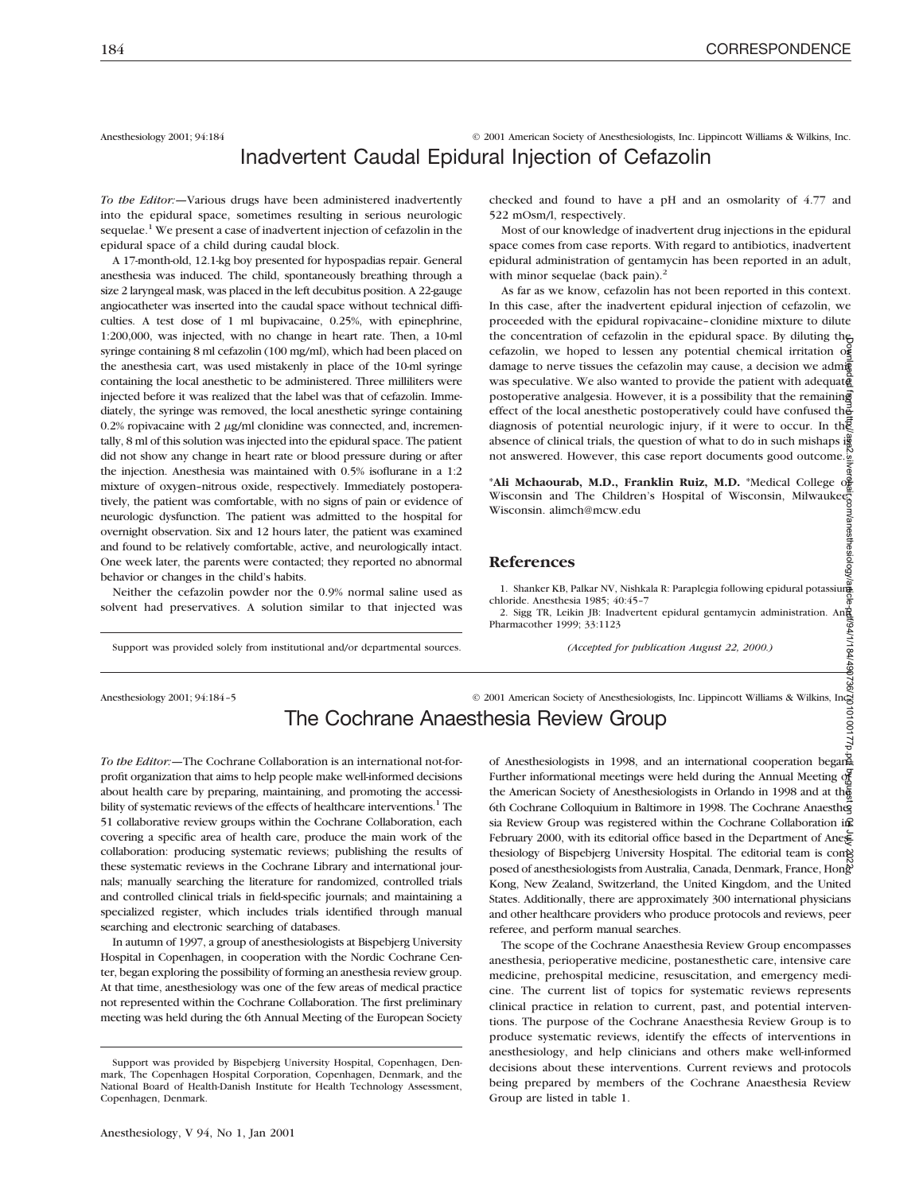Anesthesiology 2001; 94:184 © 2001 American Society of Anesthesiologists, Inc. Lippincott Williams & Wilkins, Inc.

# Inadvertent Caudal Epidural Injection of Cefazolin

*To the Editor:—*Various drugs have been administered inadvertently into the epidural space, sometimes resulting in serious neurologic sequelae.<sup>1</sup> We present a case of inadvertent injection of cefazolin in the epidural space of a child during caudal block.

A 17-month-old, 12.1-kg boy presented for hypospadias repair. General anesthesia was induced. The child, spontaneously breathing through a size 2 laryngeal mask, was placed in the left decubitus position. A 22-gauge angiocatheter was inserted into the caudal space without technical difficulties. A test dose of 1 ml bupivacaine, 0.25%, with epinephrine, 1:200,000, was injected, with no change in heart rate. Then, a 10-ml syringe containing 8 ml cefazolin (100 mg/ml), which had been placed on the anesthesia cart, was used mistakenly in place of the 10-ml syringe containing the local anesthetic to be administered. Three milliliters were injected before it was realized that the label was that of cefazolin. Immediately, the syringe was removed, the local anesthetic syringe containing 0.2% ropivacaine with 2  $\mu$ g/ml clonidine was connected, and, incrementally, 8 ml of this solution was injected into the epidural space. The patient did not show any change in heart rate or blood pressure during or after the injection. Anesthesia was maintained with 0.5% isoflurane in a 1:2 mixture of oxygen–nitrous oxide, respectively. Immediately postoperatively, the patient was comfortable, with no signs of pain or evidence of neurologic dysfunction. The patient was admitted to the hospital for overnight observation. Six and 12 hours later, the patient was examined and found to be relatively comfortable, active, and neurologically intact. One week later, the parents were contacted; they reported no abnormal behavior or changes in the child's habits.

Neither the cefazolin powder nor the 0.9% normal saline used as solvent had preservatives. A solution similar to that injected was

Support was provided solely from institutional and/or departmental sources.

checked and found to have a pH and an osmolarity of 4.77 and 522 mOsm/l, respectively.

Most of our knowledge of inadvertent drug injections in the epidural space comes from case reports. With regard to antibiotics, inadvertent epidural administration of gentamycin has been reported in an adult, with minor sequelae (back pain). $<sup>2</sup>$ </sup>

As far as we know, cefazolin has not been reported in this context. In this case, after the inadvertent epidural injection of cefazolin, we proceeded with the epidural ropivacaine–clonidine mixture to dilute the concentration of cefazolin in the epidural space. By diluting the cefazolin, we hoped to lessen any potential chemical irritation  $\alpha$ damage to nerve tissues the cefazolin may cause, a decision we admi was speculative. We also wanted to provide the patient with adequate postoperative analgesia. However, it is a possibility that the remaining effect of the local anesthetic postoperatively could have confused the diagnosis of potential neurologic injury, if it were to occur. In the absence of clinical trials, the question of what to do in such mishaps is not answered. However, this case report documents good outcome. Downloaded from http://asa2.silverchair.com/anesthesiology/article-pdf/94/1/184/490736/7i010100177p.pdf by guest on 04 July 2022

\***Ali Mchaourab, M.D., Franklin Ruiz, M.D.** \*Medical College of Wisconsin and The Children's Hospital of Wisconsin, Milwaukee, Wisconsin. alimch@mcw.edu

### **References**

1. Shanker KB, Palkar NV, Nishkala R: Paraplegia following epidural potassium chloride. Anesthesia 1985; 40:45–7

2. Sigg TR, Leikin JB: Inadvertent epidural gentamycin administration. Ann Pharmacother 1999; 33:1123

*(Accepted for publication August 22, 2000.)*

Anesthesiology 2001; 94:184-5 © 2001 American Society of Anesthesiologists, Inc. Lippincott Williams & Wilkins, Inc

# The Cochrane Anaesthesia Review Group

*To the Editor:—*The Cochrane Collaboration is an international not-forprofit organization that aims to help people make well-informed decisions about health care by preparing, maintaining, and promoting the accessibility of systematic reviews of the effects of healthcare interventions.<sup>1</sup> The 51 collaborative review groups within the Cochrane Collaboration, each covering a specific area of health care, produce the main work of the collaboration: producing systematic reviews; publishing the results of these systematic reviews in the Cochrane Library and international journals; manually searching the literature for randomized, controlled trials and controlled clinical trials in field-specific journals; and maintaining a specialized register, which includes trials identified through manual searching and electronic searching of databases.

In autumn of 1997, a group of anesthesiologists at Bispebjerg University Hospital in Copenhagen, in cooperation with the Nordic Cochrane Center, began exploring the possibility of forming an anesthesia review group. At that time, anesthesiology was one of the few areas of medical practice not represented within the Cochrane Collaboration. The first preliminary meeting was held during the 6th Annual Meeting of the European Society

of Anesthesiologists in 1998, and an international cooperation begane. Further informational meetings were held during the Annual Meeting of the American Society of Anesthesiologists in Orlando in 1998 and at the 6th Cochrane Colloquium in Baltimore in 1998. The Cochrane Anaesthesia Review Group was registered within the Cochrane Collaboration in February 2000, with its editorial office based in the Department of Ane∉ thesiology of Bispebjerg University Hospital. The editorial team is comp posed of anesthesiologists from Australia, Canada, Denmark, France, Hong Kong, New Zealand, Switzerland, the United Kingdom, and the United States. Additionally, there are approximately 300 international physicians and other healthcare providers who produce protocols and reviews, peer referee, and perform manual searches.

The scope of the Cochrane Anaesthesia Review Group encompasses anesthesia, perioperative medicine, postanesthetic care, intensive care medicine, prehospital medicine, resuscitation, and emergency medicine. The current list of topics for systematic reviews represents clinical practice in relation to current, past, and potential interventions. The purpose of the Cochrane Anaesthesia Review Group is to produce systematic reviews, identify the effects of interventions in anesthesiology, and help clinicians and others make well-informed decisions about these interventions. Current reviews and protocols being prepared by members of the Cochrane Anaesthesia Review Group are listed in table 1.

Support was provided by Bispebjerg University Hospital, Copenhagen, Denmark, The Copenhagen Hospital Corporation, Copenhagen, Denmark, and the National Board of Health-Danish Institute for Health Technology Assessment, Copenhagen, Denmark.